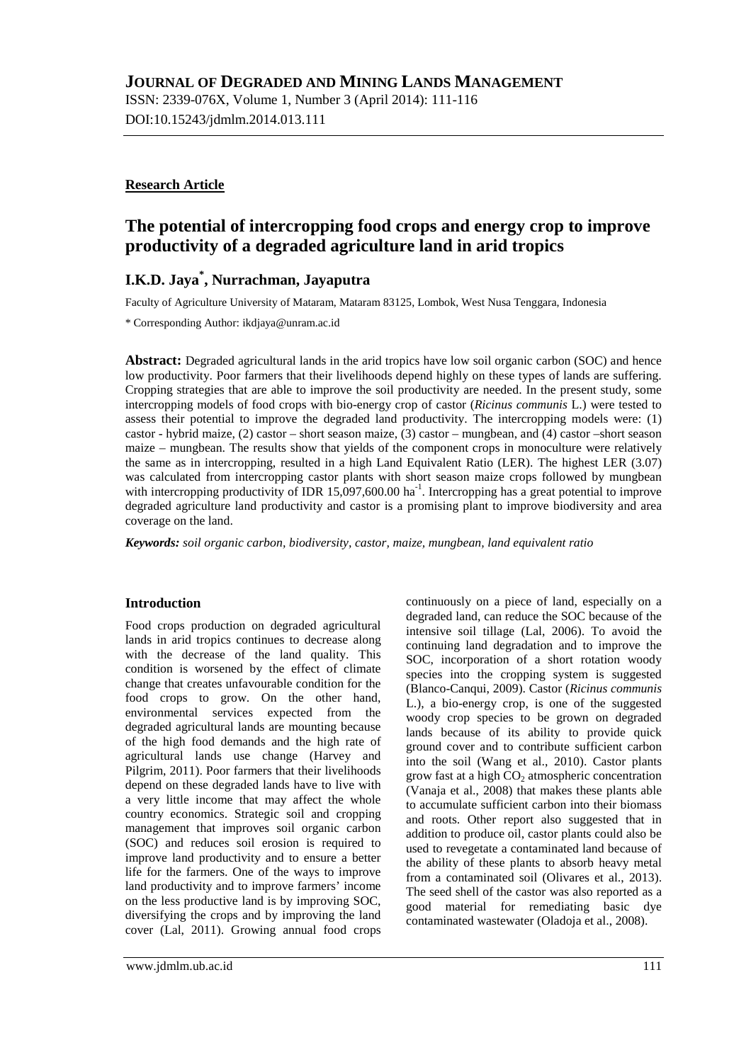ISSN: 2339-076X, Volume 1, Number 3 (April 2014): 111-116 DOI:10.15243/jdmlm.2014.013.111

### **Research Article**

# **The potential of intercropping food crops and energy crop to improve productivity of a degraded agriculture land in arid tropics**

# **I.K.D. Jaya\* , Nurrachman, Jayaputra**

Faculty of Agriculture University of Mataram, Mataram 83125, Lombok, West Nusa Tenggara, Indonesia

\* Corresponding Author: [ikdjaya@unram.ac.id](mailto:ikdjaya@unram.ac.id)

**Abstract:** Degraded agricultural lands in the arid tropics have low soil organic carbon (SOC) and hence low productivity. Poor farmers that their livelihoods depend highly on these types of lands are suffering. Cropping strategies that are able to improve the soil productivity are needed. In the present study, some intercropping models of food crops with bio-energy crop of castor (*Ricinus communis* L.) were tested to assess their potential to improve the degraded land productivity. The intercropping models were: (1) castor - hybrid maize, (2) castor – short season maize, (3) castor – mungbean, and (4) castor –short season maize – mungbean. The results show that yields of the component crops in monoculture were relatively the same as in intercropping, resulted in a high Land Equivalent Ratio (LER). The highest LER (3.07) was calculated from intercropping castor plants with short season maize crops followed by mungbean with intercropping productivity of IDR 15,097,600.00 ha<sup>-1</sup>. Intercropping has a great potential to improve degraded agriculture land productivity and castor is a promising plant to improve biodiversity and area coverage on the land.

*Keywords: soil organic carbon, biodiversity, castor, maize, mungbean, land equivalent ratio*

#### **Introduction**

Food crops production on degraded agricultural lands in arid tropics continues to decrease along with the decrease of the land quality. This condition is worsened by the effect of climate change that creates unfavourable condition for the food crops to grow. On the other hand, environmental services expected from the degraded agricultural lands are mounting because of the high food demands and the high rate of agricultural lands use change (Harvey and Pilgrim, 2011). Poor farmers that their livelihoods depend on these degraded lands have to live with a very little income that may affect the whole country economics. Strategic soil and cropping management that improves soil organic carbon (SOC) and reduces soil erosion is required to improve land productivity and to ensure a better life for the farmers. One of the ways to improve land productivity and to improve farmers' income on the less productive land is by improving SOC, diversifying the crops and by improving the land cover (Lal, 2011). Growing annual food crops

continuously on a piece of land, especially on a degraded land, can reduce the SOC because of the intensive soil tillage (Lal, 2006). To avoid the continuing land degradation and to improve the SOC, incorporation of a short rotation woody species into the cropping system is suggested (Blanco-Canqui, 2009). Castor (*Ricinus communis* L.), a bio-energy crop, is one of the suggested woody crop species to be grown on degraded lands because of its ability to provide quick ground cover and to contribute sufficient carbon into the soil (Wang et al., 2010). Castor plants grow fast at a high  $CO<sub>2</sub>$  atmospheric concentration (Vanaja et al., 2008) that makes these plants able to accumulate sufficient carbon into their biomass and roots. Other report also suggested that in addition to produce oil, castor plants could also be used to revegetate a contaminated land because of the ability of these plants to absorb heavy metal from a contaminated soil (Olivares et al., 2013). The seed shell of the castor was also reported as a good material for remediating basic dye contaminated wastewater (Oladoja et al., 2008).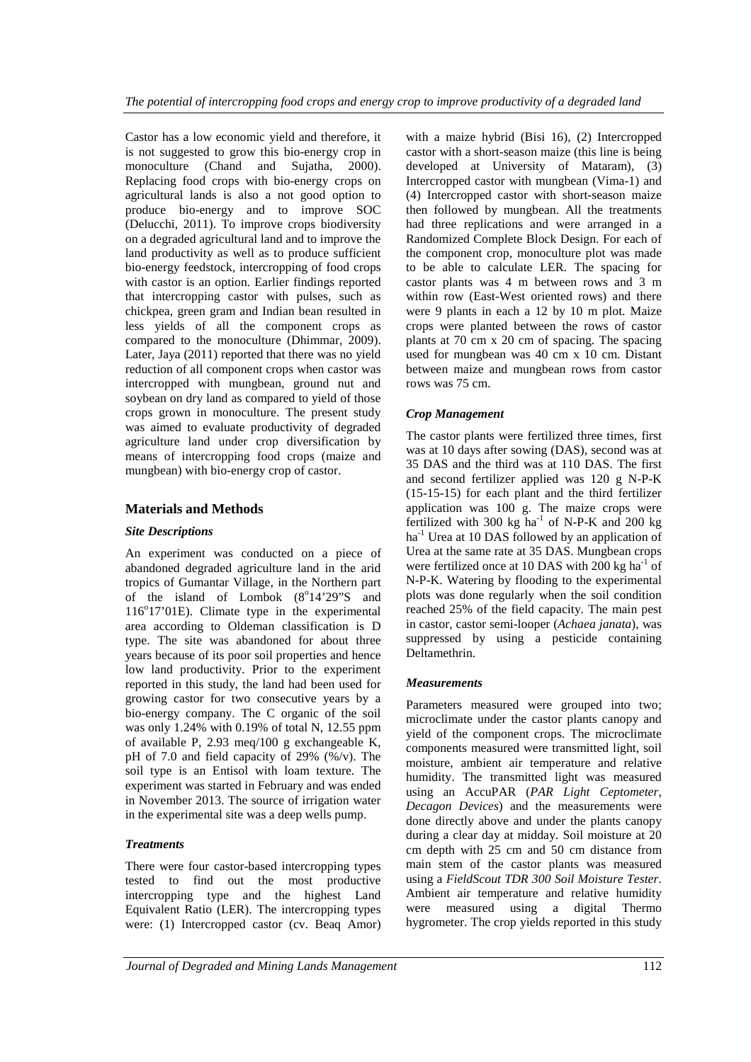Castor has a low economic yield and therefore, it is not suggested to grow this bio-energy crop in monoculture (Chand and Sujatha, 2000). Replacing food crops with bio-energy crops on agricultural lands is also a not good option to produce bio-energy and to improve SOC (Delucchi, 2011). To improve crops biodiversity on a degraded agricultural land and to improve the land productivity as well as to produce sufficient bio-energy feedstock, intercropping of food crops with castor is an option. Earlier findings reported that intercropping castor with pulses, such as chickpea, green gram and Indian bean resulted in less yields of all the component crops as compared to the monoculture (Dhimmar, 2009). Later, Jaya (2011) reported that there was no yield reduction of all component crops when castor was intercropped with mungbean, ground nut and soybean on dry land as compared to yield of those crops grown in monoculture. The present study was aimed to evaluate productivity of degraded agriculture land under crop diversification by means of intercropping food crops (maize and mungbean) with bio-energy crop of castor.

## **Materials and Methods**

#### *Site Descriptions*

An experiment was conducted on a piece of abandoned degraded agriculture land in the arid tropics of Gumantar Village, in the Northern part of the island of Lombok  $(8^{\circ}14'29''S)$  and 116°17'01E). Climate type in the experimental area according to Oldeman classification is D type. The site was abandoned for about three years because of its poor soil properties and hence low land productivity. Prior to the experiment reported in this study, the land had been used for growing castor for two consecutive years by a bio-energy company. The C organic of the soil was only 1.24% with 0.19% of total N, 12.55 ppm of available P, 2.93 meq/100 g exchangeable K, pH of 7.0 and field capacity of 29% (%/v). The soil type is an Entisol with loam texture. The experiment was started in February and was ended in November 2013. The source of irrigation water in the experimental site was a deep wells pump.

#### *Treatments*

There were four castor-based intercropping types tested to find out the most productive intercropping type and the highest Land Equivalent Ratio (LER). The intercropping types were: (1) Intercropped castor (cv. Beaq Amor) with a maize hybrid (Bisi 16), (2) Intercropped castor with a short-season maize (this line is being developed at University of Mataram), (3) Intercropped castor with mungbean (Vima-1) and (4) Intercropped castor with short-season maize then followed by mungbean. All the treatments had three replications and were arranged in a Randomized Complete Block Design. For each of the component crop, monoculture plot was made to be able to calculate LER. The spacing for castor plants was 4 m between rows and 3 m within row (East-West oriented rows) and there were 9 plants in each a 12 by 10 m plot. Maize crops were planted between the rows of castor plants at 70 cm x 20 cm of spacing. The spacing used for mungbean was 40 cm x 10 cm. Distant between maize and mungbean rows from castor rows was 75 cm.

### *Crop Management*

The castor plants were fertilized three times, first was at 10 days after sowing (DAS), second was at 35 DAS and the third was at 110 DAS. The first and second fertilizer applied was 120 g N-P-K (15-15-15) for each plant and the third fertilizer application was 100 g. The maize crops were fertilized with 300 kg  $ha^{-1}$  of N-P-K and 200 kg  $ha<sup>-1</sup>$  Urea at 10 DAS followed by an application of Urea at the same rate at 35 DAS. Mungbean crops were fertilized once at 10 DAS with 200 kg ha<sup>-1</sup> of N-P-K. Watering by flooding to the experimental plots was done regularly when the soil condition reached 25% of the field capacity. The main pest in castor, castor semi-looper (*Achaea janata*), was suppressed by using a pesticide containing Deltamethrin.

#### *Measurements*

Parameters measured were grouped into two; microclimate under the castor plants canopy and yield of the component crops. The microclimate components measured were transmitted light, soil moisture, ambient air temperature and relative humidity. The transmitted light was measured using an AccuPAR (*PAR Light Ceptometer*, *Decagon Devices*) and the measurements were done directly above and under the plants canopy during a clear day at midday. Soil moisture at 20 cm depth with 25 cm and 50 cm distance from main stem of the castor plants was measured using a *FieldScout TDR 300 Soil Moisture Tester*. Ambient air temperature and relative humidity were measured using a digital Thermo hygrometer. The crop yields reported in this study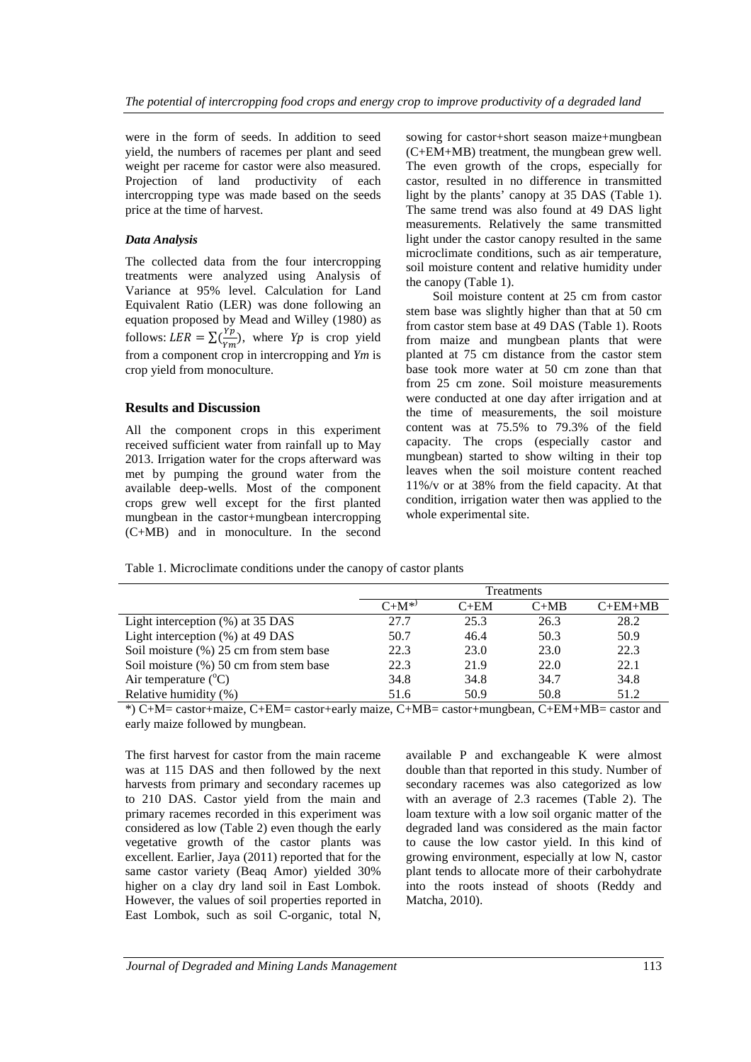were in the form of seeds. In addition to seed yield, the numbers of racemes per plant and seed weight per raceme for castor were also measured. Projection of land productivity of each intercropping type was made based on the seeds price at the time of harvest.

#### *Data Analysis*

The collected data from the four intercropping treatments were analyzed using Analysis of Variance at 95% level. Calculation for Land Equivalent Ratio (LER) was done following an equation proposed by Mead and Willey (1980) as follows:  $LER = \sum(\frac{Yp}{Vm})$  $\frac{P}{Ym}$ ), where *Yp* is crop yield from a component crop in intercropping and *Ym* is crop yield from monoculture.

### **Results and Discussion**

All the component crops in this experiment received sufficient water from rainfall up to May 2013. Irrigation water for the crops afterward was met by pumping the ground water from the available deep-wells. Most of the component crops grew well except for the first planted mungbean in the castor+mungbean intercropping (C+MB) and in monoculture. In the second

sowing for castor+short season maize+mungbean (C+EM+MB) treatment, the mungbean grew well. The even growth of the crops, especially for castor, resulted in no difference in transmitted light by the plants' canopy at 35 DAS (Table 1). The same trend was also found at 49 DAS light measurements. Relatively the same transmitted light under the castor canopy resulted in the same microclimate conditions, such as air temperature, soil moisture content and relative humidity under the canopy (Table 1).

Soil moisture content at 25 cm from castor stem base was slightly higher than that at 50 cm from castor stem base at 49 DAS (Table 1). Roots from maize and mungbean plants that were planted at 75 cm distance from the castor stem base took more water at 50 cm zone than that from 25 cm zone. Soil moisture measurements were conducted at one day after irrigation and at the time of measurements, the soil moisture content was at 75.5% to 79.3% of the field capacity. The crops (especially castor and mungbean) started to show wilting in their top leaves when the soil moisture content reached 11%/v or at 38% from the field capacity. At that condition, irrigation water then was applied to the whole experimental site.

Table 1. Microclimate conditions under the canopy of castor plants

|                                           | <b>Treatments</b> |        |        |           |  |
|-------------------------------------------|-------------------|--------|--------|-----------|--|
|                                           | $C+M^{*}$         | $C+EM$ | $C+MB$ | $C+EM+MB$ |  |
| Light interception $(\%)$ at 35 DAS       | 27.7              | 25.3   | 26.3   | 28.2      |  |
| Light interception (%) at 49 DAS          | 50.7              | 46.4   | 50.3   | 50.9      |  |
| Soil moisture $(\%)$ 25 cm from stem base | 22.3              | 23.0   | 23.0   | 22.3      |  |
| Soil moisture (%) 50 cm from stem base    | 22.3              | 21.9   | 22.0   | 22.1      |  |
| Air temperature $(^{\circ}C)$             | 34.8              | 34.8   | 34.7   | 34.8      |  |
| Relative humidity (%)                     | 51.6              | 50.9   | 50.8   | 51.2      |  |

\*) C+M= castor+maize, C+EM= castor+early maize, C+MB= castor+mungbean, C+EM+MB= castor and early maize followed by mungbean.

The first harvest for castor from the main raceme was at 115 DAS and then followed by the next harvests from primary and secondary racemes up to 210 DAS. Castor yield from the main and primary racemes recorded in this experiment was considered as low (Table 2) even though the early vegetative growth of the castor plants was excellent. Earlier, Jaya (2011) reported that for the same castor variety (Beaq Amor) yielded 30% higher on a clay dry land soil in East Lombok. However, the values of soil properties reported in East Lombok, such as soil C-organic, total N,

available P and exchangeable K were almost double than that reported in this study. Number of secondary racemes was also categorized as low with an average of 2.3 racemes (Table 2). The loam texture with a low soil organic matter of the degraded land was considered as the main factor to cause the low castor yield. In this kind of growing environment, especially at low N, castor plant tends to allocate more of their carbohydrate into the roots instead of shoots (Reddy and Matcha, 2010).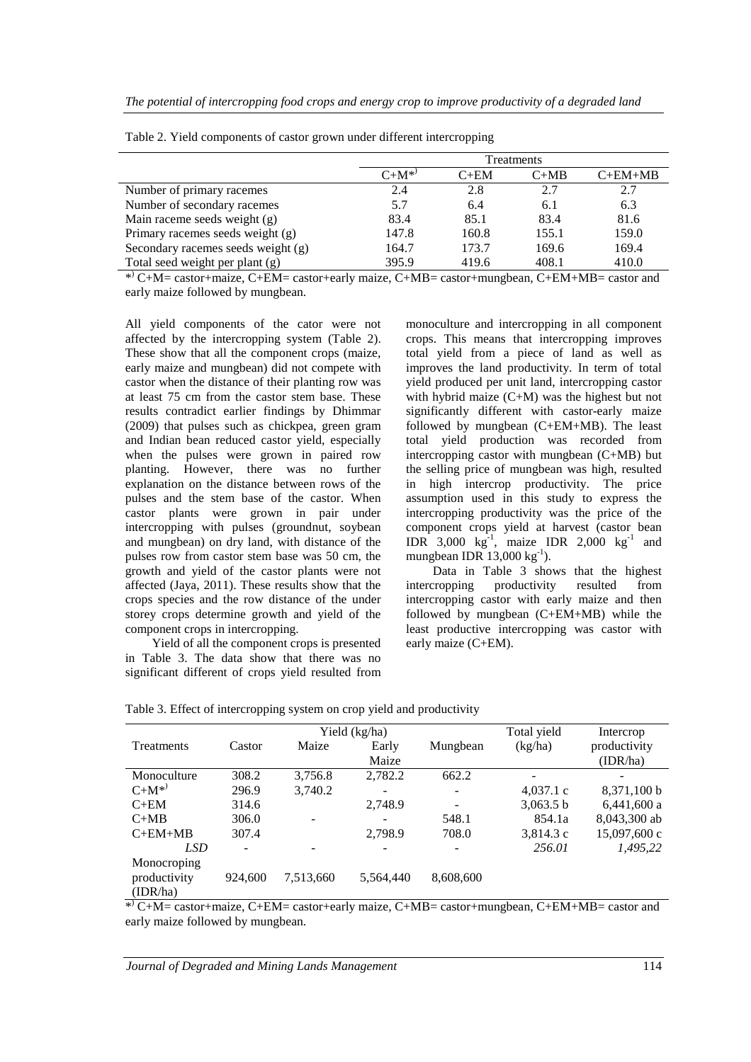|                                    | Treatments |        |        |           |  |
|------------------------------------|------------|--------|--------|-----------|--|
|                                    | $C+M^{*}$  | $C+EM$ | $C+MB$ | $C+EM+MB$ |  |
| Number of primary racemes          | 2.4        | 2.8    | 2.7    | 2.7       |  |
| Number of secondary racemes        | 5.7        | 6.4    | 6.1    | 6.3       |  |
| Main raceme seeds weight (g)       | 83.4       | 85.1   | 83.4   | 81.6      |  |
| Primary racemes seeds weight (g)   | 147.8      | 160.8  | 155.1  | 159.0     |  |
| Secondary racemes seeds weight (g) | 164.7      | 173.7  | 169.6  | 169.4     |  |
| Total seed weight per plant (g)    | 395.9      | 419.6  | 408.1  | 410.0     |  |

Table 2. Yield components of castor grown under different intercropping

\* ) C+M= castor+maize, C+EM= castor+early maize, C+MB= castor+mungbean, C+EM+MB= castor and early maize followed by mungbean.

All yield components of the cator were not affected by the intercropping system (Table 2). These show that all the component crops (maize, early maize and mungbean) did not compete with castor when the distance of their planting row was at least 75 cm from the castor stem base. These results contradict earlier findings by Dhimmar (2009) that pulses such as chickpea, green gram and Indian bean reduced castor yield, especially when the pulses were grown in paired row planting. However, there was no further explanation on the distance between rows of the pulses and the stem base of the castor. When castor plants were grown in pair under intercropping with pulses (groundnut, soybean and mungbean) on dry land, with distance of the pulses row from castor stem base was 50 cm, the growth and yield of the castor plants were not affected (Jaya, 2011). These results show that the crops species and the row distance of the under storey crops determine growth and yield of the component crops in intercropping.

Yield of all the component crops is presented in Table 3. The data show that there was no significant different of crops yield resulted from monoculture and intercropping in all component crops. This means that intercropping improves total yield from a piece of land as well as improves the land productivity. In term of total yield produced per unit land, intercropping castor with hybrid maize (C+M) was the highest but not significantly different with castor-early maize followed by mungbean (C+EM+MB). The least total yield production was recorded from intercropping castor with mungbean (C+MB) but the selling price of mungbean was high, resulted in high intercrop productivity. The price assumption used in this study to express the intercropping productivity was the price of the component crops yield at harvest (castor bean IDR 3,000  $kg^{-1}$ , maize IDR 2,000  $kg^{-1}$  and mungbean IDR  $13,000 \text{ kg}^{-1}$ ).

Data in Table 3 shows that the highest intercropping productivity resulted from intercropping castor with early maize and then followed by mungbean (C+EM+MB) while the least productive intercropping was castor with early maize (C+EM).

|              | Yield (kg/ha) |                          |                          |                   | Total yield | Intercrop     |
|--------------|---------------|--------------------------|--------------------------|-------------------|-------------|---------------|
| Treatments   | Castor        | Maize                    | Early                    | Mungbean          | (kg/ha)     | productivity  |
|              |               |                          | Maize                    |                   |             | (IDR/ha)      |
| Monoculture  | 308.2         | 3,756.8                  | 2,782.2                  | 662.2             | -           |               |
| $C+M^{(*)}$  | 296.9         | 3,740.2                  | $\overline{\phantom{0}}$ | $\qquad \qquad -$ | $4,037.1$ c | 8,371,100 b   |
| $C+EM$       | 314.6         |                          | 2,748.9                  | -                 | 3,063.5 b   | $6,441,600$ a |
| $C+MB$       | 306.0         | $\overline{\phantom{0}}$ | $\overline{\phantom{a}}$ | 548.1             | 854.1a      | 8,043,300 ab  |
| $C+EM+MB$    | 307.4         |                          | 2,798.9                  | 708.0             | 3,814.3c    | 15,097,600 c  |
| <b>LSD</b>   |               |                          |                          |                   | 256.01      | 1.495.22      |
| Monocroping  |               |                          |                          |                   |             |               |
| productivity | 924,600       | 7,513,660                | 5,564,440                | 8,608,600         |             |               |
| (IDR/ha)     |               |                          |                          |                   |             |               |

Table 3. Effect of intercropping system on crop yield and productivity

\* ) C+M= castor+maize, C+EM= castor+early maize, C+MB= castor+mungbean, C+EM+MB= castor and early maize followed by mungbean.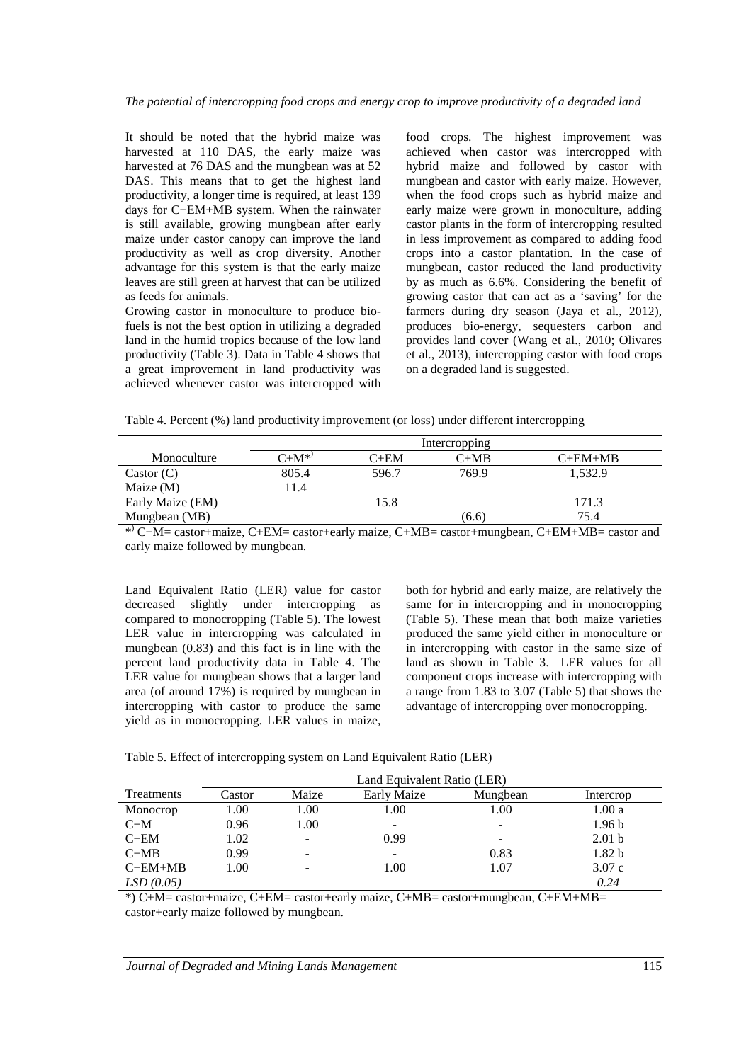It should be noted that the hybrid maize was harvested at 110 DAS, the early maize was harvested at 76 DAS and the mungbean was at 52 DAS. This means that to get the highest land productivity, a longer time is required, at least 139 days for C+EM+MB system. When the rainwater is still available, growing mungbean after early maize under castor canopy can improve the land productivity as well as crop diversity. Another advantage for this system is that the early maize leaves are still green at harvest that can be utilized as feeds for animals.

Growing castor in monoculture to produce biofuels is not the best option in utilizing a degraded land in the humid tropics because of the low land productivity (Table 3). Data in Table 4 shows that a great improvement in land productivity was achieved whenever castor was intercropped with

food crops. The highest improvement was achieved when castor was intercropped with hybrid maize and followed by castor with mungbean and castor with early maize. However, when the food crops such as hybrid maize and early maize were grown in monoculture, adding castor plants in the form of intercropping resulted in less improvement as compared to adding food crops into a castor plantation. In the case of mungbean, castor reduced the land productivity by as much as 6.6%. Considering the benefit of growing castor that can act as a 'saving' for the farmers during dry season (Jaya et al., 2012), produces bio-energy, sequesters carbon and provides land cover (Wang et al., 2010; Olivares et al., 2013), intercropping castor with food crops on a degraded land is suggested.

Table 4. Percent (%) land productivity improvement (or loss) under different intercropping

|                  | Intercropping |        |        |           |  |  |
|------------------|---------------|--------|--------|-----------|--|--|
| Monoculture      | $C+M^{*}$     | $C+EM$ | $C+MB$ | $C+EM+MB$ |  |  |
| Castor $(C)$     | 805.4         | 596.7  | 769.9  | 1.532.9   |  |  |
| Maize $(M)$      | 11.4          |        |        |           |  |  |
| Early Maize (EM) |               | 15.8   |        | 171.3     |  |  |
| Mungbean (MB)    |               |        | (6.6)  | 75.4      |  |  |

\* ) C+M= castor+maize, C+EM= castor+early maize, C+MB= castor+mungbean, C+EM+MB= castor and early maize followed by mungbean.

Land Equivalent Ratio (LER) value for castor decreased slightly under intercropping as compared to monocropping (Table 5). The lowest LER value in intercropping was calculated in mungbean (0.83) and this fact is in line with the percent land productivity data in Table 4. The LER value for mungbean shows that a larger land area (of around 17%) is required by mungbean in intercropping with castor to produce the same yield as in monocropping. LER values in maize, both for hybrid and early maize, are relatively the same for in intercropping and in monocropping (Table 5). These mean that both maize varieties produced the same yield either in monoculture or in intercropping with castor in the same size of land as shown in Table 3. LER values for all component crops increase with intercropping with a range from 1.83 to 3.07 (Table 5) that shows the advantage of intercropping over monocropping.

|  | Table 5. Effect of intercropping system on Land Equivalent Ratio (LER) |  |  |
|--|------------------------------------------------------------------------|--|--|
|  |                                                                        |  |  |

|            | Land Equivalent Ratio (LER) |       |             |                          |                   |  |
|------------|-----------------------------|-------|-------------|--------------------------|-------------------|--|
| Treatments | Castor                      | Maize | Early Maize | Mungbean                 | Intercrop         |  |
| Monocrop   | 1.00                        | 1.00  | 1.00        | 1.00                     | 1.00a             |  |
| $C+M$      | 0.96                        | 1.00  |             | $\overline{\phantom{a}}$ | 1.96 <sub>b</sub> |  |
| $C+EM$     | 1.02                        |       | 0.99        | $\overline{\phantom{a}}$ | 2.01 <sub>b</sub> |  |
| $C+MB$     | 0.99                        |       |             | 0.83                     | 1.82 <sub>b</sub> |  |
| $C+EM+MB$  | 1.00                        |       | 1.00        | 1.07                     | 3.07c             |  |
| LSD(0.05)  |                             |       |             |                          | 0.24              |  |

\*) C+M= castor+maize, C+EM= castor+early maize, C+MB= castor+mungbean, C+EM+MB= castor+early maize followed by mungbean.